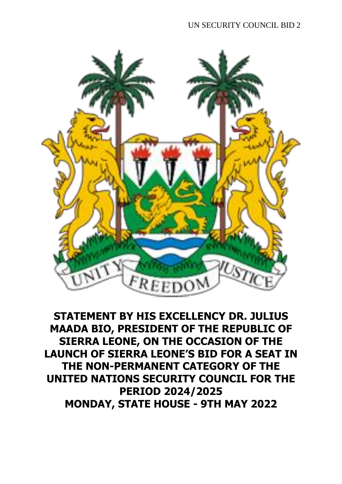

**STATEMENT BY HIS EXCELLENCY DR. JULIUS MAADA BIO, PRESIDENT OF THE REPUBLIC OF SIERRA LEONE, ON THE OCCASION OF THE LAUNCH OF SIERRA LEONE'S BID FOR A SEAT IN THE NON-PERMANENT CATEGORY OF THE UNITED NATIONS SECURITY COUNCIL FOR THE PERIOD 2024/2025 MONDAY, STATE HOUSE - 9TH MAY 2022**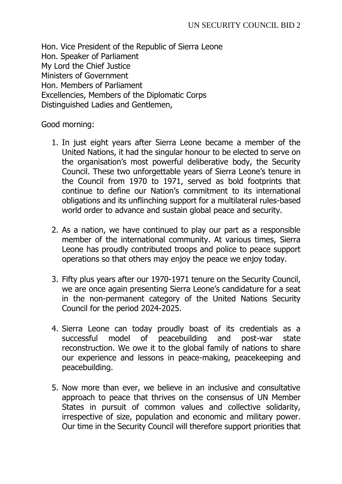Hon. Vice President of the Republic of Sierra Leone Hon. Speaker of Parliament My Lord the Chief Justice Ministers of Government Hon. Members of Parliament Excellencies, Members of the Diplomatic Corps Distinguished Ladies and Gentlemen,

Good morning:

- 1. In just eight years after Sierra Leone became a member of the United Nations, it had the singular honour to be elected to serve on the organisation's most powerful deliberative body, the Security Council. These two unforgettable years of Sierra Leone's tenure in the Council from 1970 to 1971, served as bold footprints that continue to define our Nation's commitment to its international obligations and its unflinching support for a multilateral rules-based world order to advance and sustain global peace and security.
- 2. As a nation, we have continued to play our part as a responsible member of the international community. At various times, Sierra Leone has proudly contributed troops and police to peace support operations so that others may enjoy the peace we enjoy today.
- 3. Fifty plus years after our 1970-1971 tenure on the Security Council, we are once again presenting Sierra Leone's candidature for a seat in the non-permanent category of the United Nations Security Council for the period 2024-2025.
- 4. Sierra Leone can today proudly boast of its credentials as a successful model of peacebuilding and post-war state reconstruction. We owe it to the global family of nations to share our experience and lessons in peace-making, peacekeeping and peacebuilding.
- 5. Now more than ever, we believe in an inclusive and consultative approach to peace that thrives on the consensus of UN Member States in pursuit of common values and collective solidarity, irrespective of size, population and economic and military power. Our time in the Security Council will therefore support priorities that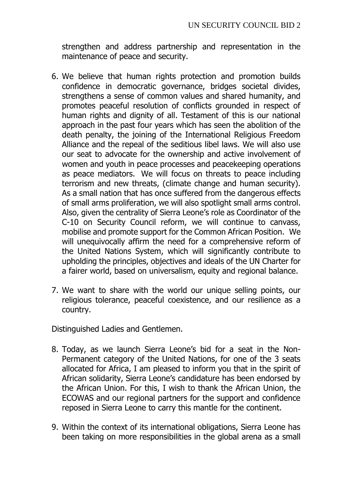strengthen and address partnership and representation in the maintenance of peace and security.

- 6. We believe that human rights protection and promotion builds confidence in democratic governance, bridges societal divides, strengthens a sense of common values and shared humanity, and promotes peaceful resolution of conflicts grounded in respect of human rights and dignity of all. Testament of this is our national approach in the past four years which has seen the abolition of the death penalty, the joining of the International Religious Freedom Alliance and the repeal of the seditious libel laws. We will also use our seat to advocate for the ownership and active involvement of women and youth in peace processes and peacekeeping operations as peace mediators. We will focus on threats to peace including terrorism and new threats, (climate change and human security). As a small nation that has once suffered from the dangerous effects of small arms proliferation, we will also spotlight small arms control. Also, given the centrality of Sierra Leone's role as Coordinator of the C-10 on Security Council reform, we will continue to canvass, mobilise and promote support for the Common African Position. We will unequivocally affirm the need for a comprehensive reform of the United Nations System, which will significantly contribute to upholding the principles, objectives and ideals of the UN Charter for a fairer world, based on universalism, equity and regional balance.
- 7. We want to share with the world our unique selling points, our religious tolerance, peaceful coexistence, and our resilience as a country.

Distinguished Ladies and Gentlemen.

- 8. Today, as we launch Sierra Leone's bid for a seat in the Non-Permanent category of the United Nations, for one of the 3 seats allocated for Africa, I am pleased to inform you that in the spirit of African solidarity, Sierra Leone's candidature has been endorsed by the African Union. For this, I wish to thank the African Union, the ECOWAS and our regional partners for the support and confidence reposed in Sierra Leone to carry this mantle for the continent.
- 9. Within the context of its international obligations, Sierra Leone has been taking on more responsibilities in the global arena as a small